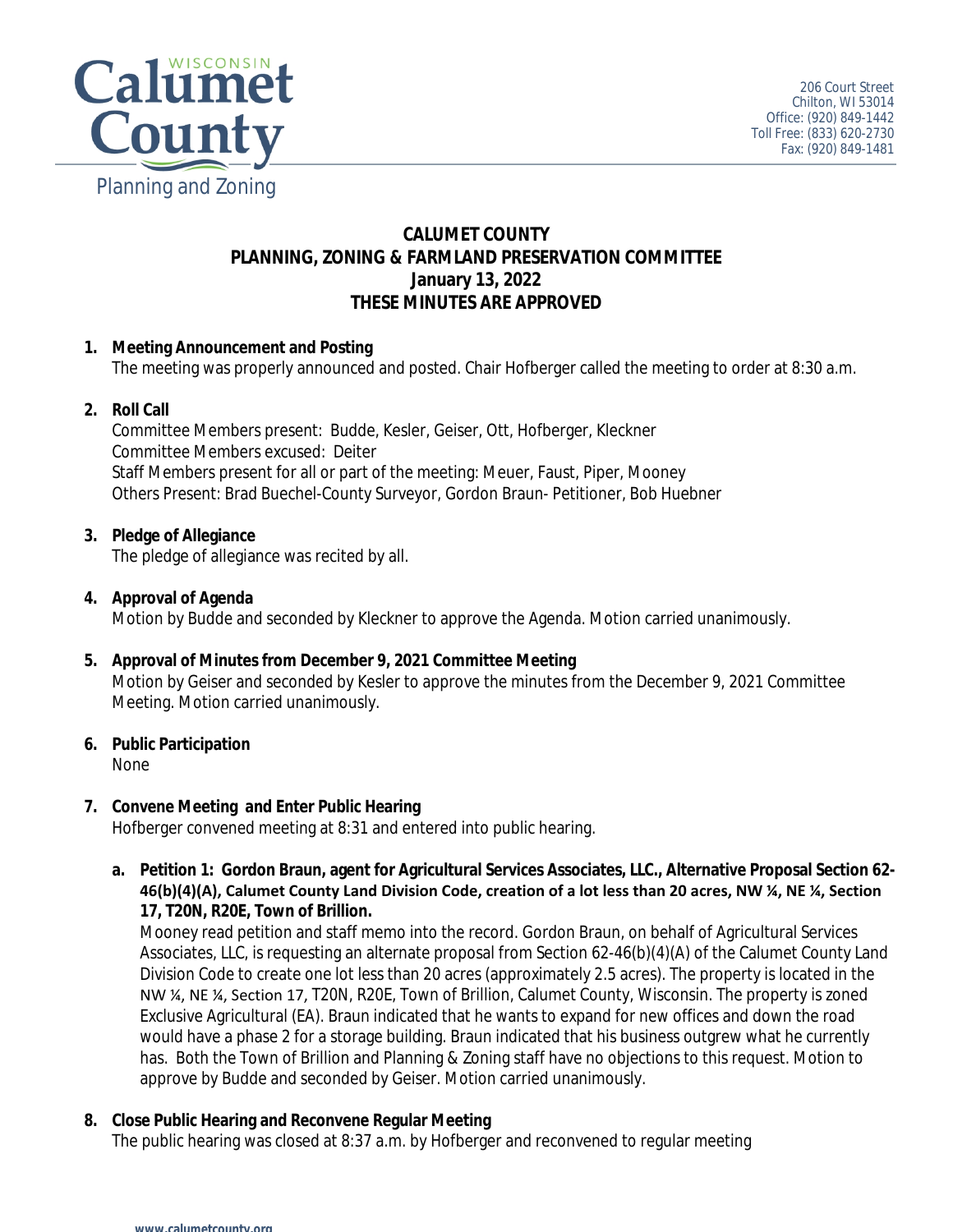

### **CALUMET COUNTY PLANNING, ZONING & FARMLAND PRESERVATION COMMITTEE January 13, 2022 THESE MINUTES ARE APPROVED**

#### **1. Meeting Announcement and Posting**

The meeting was properly announced and posted. Chair Hofberger called the meeting to order at 8:30 a.m.

#### **2. Roll Call**

Committee Members present: Budde, Kesler, Geiser, Ott, Hofberger, Kleckner Committee Members excused: Deiter Staff Members present for all or part of the meeting: Meuer, Faust, Piper, Mooney Others Present: Brad Buechel-County Surveyor, Gordon Braun- Petitioner, Bob Huebner

#### **3. Pledge of Allegiance**

The pledge of allegiance was recited by all.

#### **4. Approval of Agenda**

Motion by Budde and seconded by Kleckner to approve the Agenda. Motion carried unanimously.

**5. Approval of Minutes from December 9, 2021 Committee Meeting** Motion by Geiser and seconded by Kesler to approve the minutes from the December 9, 2021 Committee Meeting. Motion carried unanimously.

#### **6. Public Participation**

None

#### **7. Convene Meeting and Enter Public Hearing**

Hofberger convened meeting at 8:31 and entered into public hearing.

**a. Petition 1: Gordon Braun, agent for Agricultural Services Associates, LLC., Alternative Proposal Section 62- 46(b)(4)(A), Calumet County Land Division Code, creation of a lot less than 20 acres, NW ¼, NE ¼, Section 17, T20N, R20E, Town of Brillion.**

Mooney read petition and staff memo into the record. Gordon Braun, on behalf of Agricultural Services Associates, LLC, is requesting an alternate proposal from Section 62-46(b)(4)(A) of the Calumet County Land Division Code to create one lot less than 20 acres (approximately 2.5 acres). The property is located in the NW ¼, NE ¼, Section 17, T20N, R20E, Town of Brillion, Calumet County, Wisconsin. The property is zoned Exclusive Agricultural (EA). Braun indicated that he wants to expand for new offices and down the road would have a phase 2 for a storage building. Braun indicated that his business outgrew what he currently has. Both the Town of Brillion and Planning & Zoning staff have no objections to this request. Motion to approve by Budde and seconded by Geiser. Motion carried unanimously.

#### **8. Close Public Hearing and Reconvene Regular Meeting**

The public hearing was closed at 8:37 a.m. by Hofberger and reconvened to regular meeting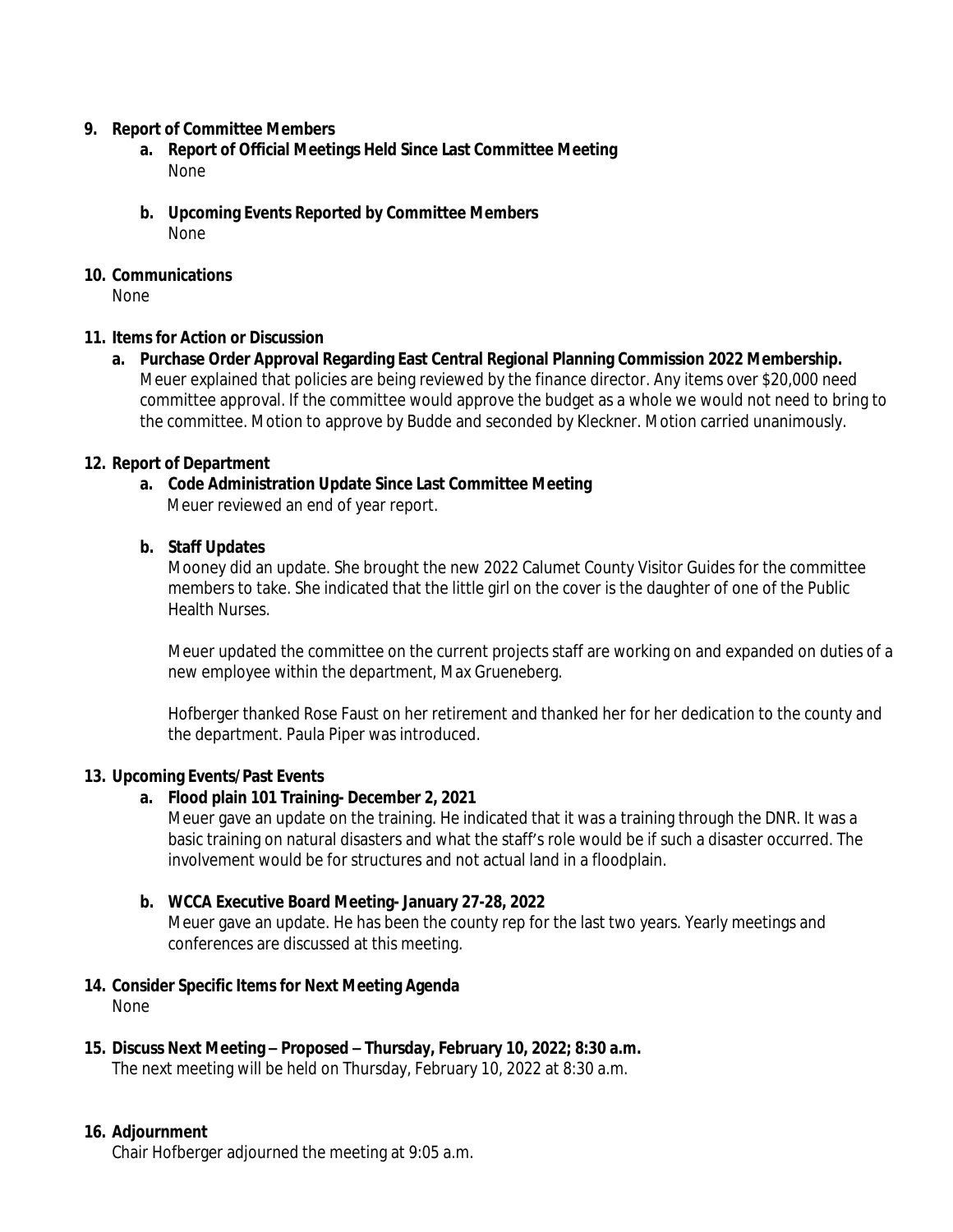#### **9. Report of Committee Members**

- **a. Report of Official Meetings Held Since Last Committee Meeting** None
- **b. Upcoming Events Reported by Committee Members** None

#### **10. Communications**

None

#### **11. Items for Action or Discussion**

**a. Purchase Order Approval Regarding East Central Regional Planning Commission 2022 Membership.** Meuer explained that policies are being reviewed by the finance director. Any items over \$20,000 need committee approval. If the committee would approve the budget as a whole we would not need to bring to the committee. Motion to approve by Budde and seconded by Kleckner. Motion carried unanimously.

#### **12. Report of Department**

### **a. Code Administration Update Since Last Committee Meeting**

Meuer reviewed an end of year report.

#### **b. Staff Updates**

Mooney did an update. She brought the new 2022 Calumet County Visitor Guides for the committee members to take. She indicated that the little girl on the cover is the daughter of one of the Public Health Nurses.

Meuer updated the committee on the current projects staff are working on and expanded on duties of a new employee within the department, Max Grueneberg.

Hofberger thanked Rose Faust on her retirement and thanked her for her dedication to the county and the department. Paula Piper was introduced.

#### **13. Upcoming Events/Past Events**

#### **a. Flood plain 101 Training- December 2, 2021**

Meuer gave an update on the training. He indicated that it was a training through the DNR. It was a basic training on natural disasters and what the staff's role would be if such a disaster occurred. The involvement would be for structures and not actual land in a floodplain.

#### **b. WCCA Executive Board Meeting- January 27-28, 2022**

Meuer gave an update. He has been the county rep for the last two years. Yearly meetings and conferences are discussed at this meeting.

#### **14. Consider Specific Items for Next Meeting Agenda** None

# **15. Discuss Next Meeting – Proposed – Thursday, February 10, 2022; 8:30 a.m.**

The next meeting will be held on Thursday, February 10, 2022 at 8:30 a.m.

#### **16. Adjournment**

Chair Hofberger adjourned the meeting at 9:05 a.m.